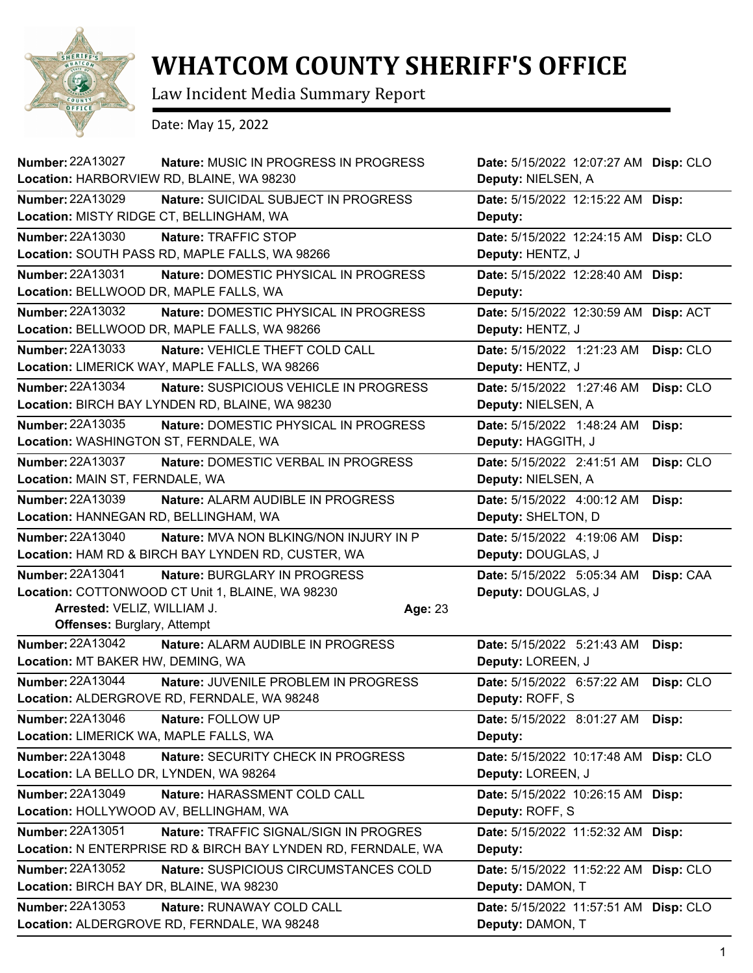

## **WHATCOM COUNTY SHERIFF'S OFFICE**

Law Incident Media Summary Report

Date: May 15, 2022

| <b>Number: 22A13027</b><br>Location: HARBORVIEW RD, BLAINE, WA 98230                                                                             | Nature: MUSIC IN PROGRESS IN PROGRESS                                                                   | Date: 5/15/2022 12:07:27 AM Disp: CLO<br>Deputy: NIELSEN, A |           |
|--------------------------------------------------------------------------------------------------------------------------------------------------|---------------------------------------------------------------------------------------------------------|-------------------------------------------------------------|-----------|
| <b>Number: 22A13029</b><br>Location: MISTY RIDGE CT, BELLINGHAM, WA                                                                              | Nature: SUICIDAL SUBJECT IN PROGRESS                                                                    | Date: 5/15/2022 12:15:22 AM Disp:<br>Deputy:                |           |
| Number: 22A13030<br>Location: SOUTH PASS RD, MAPLE FALLS, WA 98266                                                                               | Nature: TRAFFIC STOP                                                                                    | Date: 5/15/2022 12:24:15 AM Disp: CLO<br>Deputy: HENTZ, J   |           |
| <b>Number: 22A13031</b><br>Location: BELLWOOD DR, MAPLE FALLS, WA                                                                                | Nature: DOMESTIC PHYSICAL IN PROGRESS                                                                   | Date: 5/15/2022 12:28:40 AM Disp:<br>Deputy:                |           |
| <b>Number: 22A13032</b><br>Location: BELLWOOD DR, MAPLE FALLS, WA 98266                                                                          | Nature: DOMESTIC PHYSICAL IN PROGRESS                                                                   | Date: 5/15/2022 12:30:59 AM Disp: ACT<br>Deputy: HENTZ, J   |           |
| Number: 22A13033<br>Location: LIMERICK WAY, MAPLE FALLS, WA 98266                                                                                | Nature: VEHICLE THEFT COLD CALL                                                                         | Date: 5/15/2022 1:21:23 AM<br>Deputy: HENTZ, J              | Disp: CLO |
| <b>Number: 22A13034</b><br>Location: BIRCH BAY LYNDEN RD, BLAINE, WA 98230                                                                       | Nature: SUSPICIOUS VEHICLE IN PROGRESS                                                                  | Date: 5/15/2022 1:27:46 AM<br>Deputy: NIELSEN, A            | Disp: CLO |
| <b>Number: 22A13035</b><br>Location: WASHINGTON ST, FERNDALE, WA                                                                                 | Nature: DOMESTIC PHYSICAL IN PROGRESS                                                                   | Date: 5/15/2022 1:48:24 AM<br>Deputy: HAGGITH, J            | Disp:     |
| Number: 22A13037<br>Location: MAIN ST, FERNDALE, WA                                                                                              | Nature: DOMESTIC VERBAL IN PROGRESS                                                                     | Date: 5/15/2022 2:41:51 AM<br>Deputy: NIELSEN, A            | Disp: CLO |
| <b>Number: 22A13039</b><br>Location: HANNEGAN RD, BELLINGHAM, WA                                                                                 | Nature: ALARM AUDIBLE IN PROGRESS                                                                       | Date: 5/15/2022 4:00:12 AM<br>Deputy: SHELTON, D            | Disp:     |
| Number: 22A13040<br>Location: HAM RD & BIRCH BAY LYNDEN RD, CUSTER, WA                                                                           | <b>Nature: MVA NON BLKING/NON INJURY IN P</b>                                                           | Date: 5/15/2022 4:19:06 AM<br>Deputy: DOUGLAS, J            | Disp:     |
| <b>Number: 22A13041</b><br>Location: COTTONWOOD CT Unit 1, BLAINE, WA 98230<br>Arrested: VELIZ, WILLIAM J.<br><b>Offenses: Burglary, Attempt</b> | Nature: BURGLARY IN PROGRESS<br>Age: 23                                                                 | Date: 5/15/2022 5:05:34 AM<br>Deputy: DOUGLAS, J            | Disp: CAA |
| Number: 22A13042<br>Location: MT BAKER HW, DEMING, WA                                                                                            | Nature: ALARM AUDIBLE IN PROGRESS                                                                       | Date: 5/15/2022 5:21:43 AM<br>Deputy: LOREEN, J             | Disp:     |
| Number: 22A13044<br>Location: ALDERGROVE RD, FERNDALE, WA 98248                                                                                  | Nature: JUVENILE PROBLEM IN PROGRESS                                                                    | Date: 5/15/2022 6:57:22 AM<br>Deputy: ROFF, S               | Disp: CLO |
| Number: 22A13046<br>Location: LIMERICK WA, MAPLE FALLS, WA                                                                                       | Nature: FOLLOW UP                                                                                       | <b>Date:</b> 5/15/2022 8:01:27 AM <b>Disp:</b><br>Deputy:   |           |
| <b>Number: 22A13048</b><br>Location: LA BELLO DR, LYNDEN, WA 98264                                                                               | Nature: SECURITY CHECK IN PROGRESS                                                                      | Date: 5/15/2022 10:17:48 AM Disp: CLO<br>Deputy: LOREEN, J  |           |
| Number: 22A13049<br>Location: HOLLYWOOD AV, BELLINGHAM, WA                                                                                       | Nature: HARASSMENT COLD CALL                                                                            | Date: 5/15/2022 10:26:15 AM Disp:<br>Deputy: ROFF, S        |           |
| Number: 22A13051                                                                                                                                 | Nature: TRAFFIC SIGNAL/SIGN IN PROGRES<br>Location: N ENTERPRISE RD & BIRCH BAY LYNDEN RD, FERNDALE, WA | Date: 5/15/2022 11:52:32 AM Disp:<br>Deputy:                |           |
| <b>Number: 22A13052</b><br>Location: BIRCH BAY DR, BLAINE, WA 98230                                                                              | Nature: SUSPICIOUS CIRCUMSTANCES COLD                                                                   | Date: 5/15/2022 11:52:22 AM Disp: CLO<br>Deputy: DAMON, T   |           |
| Number: 22A13053<br>Location: ALDERGROVE RD, FERNDALE, WA 98248                                                                                  | Nature: RUNAWAY COLD CALL                                                                               | Date: 5/15/2022 11:57:51 AM Disp: CLO<br>Deputy: DAMON, T   |           |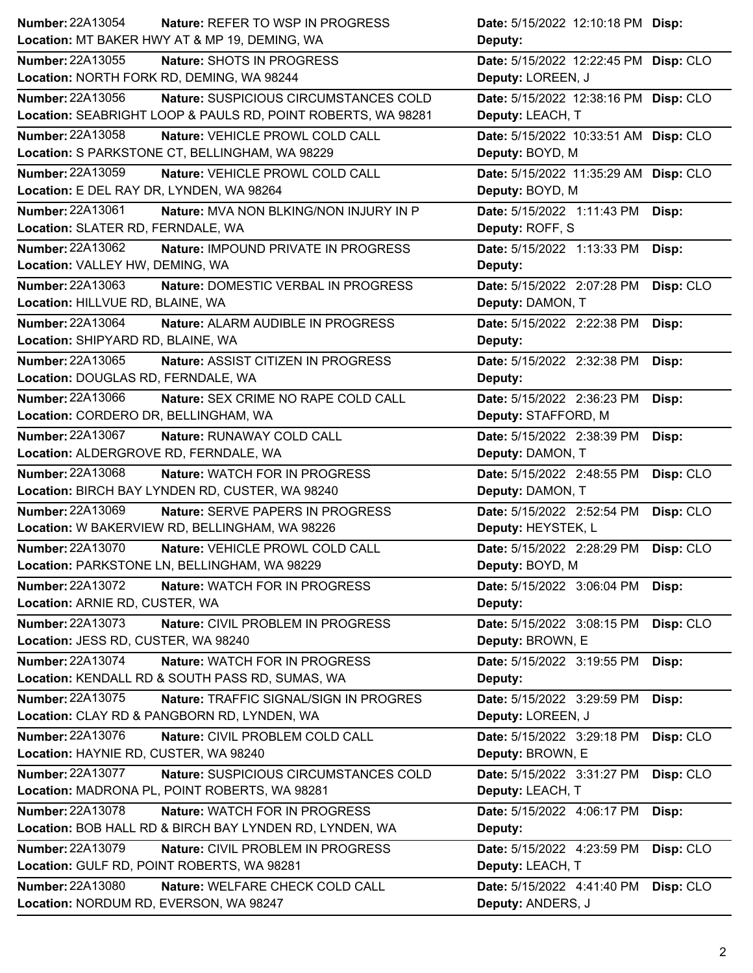| <b>Number: 22A13054</b><br><b>Nature: REFER TO WSP IN PROGRESS</b> |                                        | Date: 5/15/2022 12:10:18 PM Disp:     |           |
|--------------------------------------------------------------------|----------------------------------------|---------------------------------------|-----------|
| Location: MT BAKER HWY AT & MP 19, DEMING, WA                      |                                        | Deputy:                               |           |
| <b>Number: 22A13055</b><br>Nature: SHOTS IN PROGRESS               |                                        | Date: 5/15/2022 12:22:45 PM Disp: CLO |           |
| Location: NORTH FORK RD, DEMING, WA 98244                          |                                        | Deputy: LOREEN, J                     |           |
| <b>Number: 22A13056</b>                                            | Nature: SUSPICIOUS CIRCUMSTANCES COLD  | Date: 5/15/2022 12:38:16 PM Disp: CLO |           |
| Location: SEABRIGHT LOOP & PAULS RD, POINT ROBERTS, WA 98281       |                                        | Deputy: LEACH, T                      |           |
| <b>Number: 22A13058</b><br>Nature: VEHICLE PROWL COLD CALL         |                                        | Date: 5/15/2022 10:33:51 AM Disp: CLO |           |
| Location: S PARKSTONE CT, BELLINGHAM, WA 98229                     |                                        | Deputy: BOYD, M                       |           |
| Number: 22A13059<br>Nature: VEHICLE PROWL COLD CALL                |                                        | Date: 5/15/2022 11:35:29 AM Disp: CLO |           |
| Location: E DEL RAY DR, LYNDEN, WA 98264                           |                                        | Deputy: BOYD, M                       |           |
| Number: 22A13061                                                   | Nature: MVA NON BLKING/NON INJURY IN P | Date: 5/15/2022 1:11:43 PM            | Disp:     |
| Location: SLATER RD, FERNDALE, WA                                  |                                        | Deputy: ROFF, S                       |           |
| Number: 22A13062                                                   | Nature: IMPOUND PRIVATE IN PROGRESS    | Date: 5/15/2022 1:13:33 PM            | Disp:     |
| Location: VALLEY HW, DEMING, WA                                    |                                        | Deputy:                               |           |
| Number: 22A13063                                                   | Nature: DOMESTIC VERBAL IN PROGRESS    | Date: 5/15/2022 2:07:28 PM            | Disp: CLO |
| Location: HILLVUE RD, BLAINE, WA                                   |                                        | Deputy: DAMON, T                      |           |
| Number: 22A13064<br>Nature: ALARM AUDIBLE IN PROGRESS              |                                        | Date: 5/15/2022 2:22:38 PM            | Disp:     |
| Location: SHIPYARD RD, BLAINE, WA                                  |                                        | Deputy:                               |           |
| <b>Number: 22A13065</b><br>Nature: ASSIST CITIZEN IN PROGRESS      |                                        | Date: 5/15/2022 2:32:38 PM            | Disp:     |
| Location: DOUGLAS RD, FERNDALE, WA                                 |                                        | Deputy:                               |           |
| <b>Number: 22A13066</b>                                            | Nature: SEX CRIME NO RAPE COLD CALL    | Date: 5/15/2022 2:36:23 PM            | Disp:     |
| Location: CORDERO DR, BELLINGHAM, WA                               |                                        | Deputy: STAFFORD, M                   |           |
| Number: 22A13067<br>Nature: RUNAWAY COLD CALL                      |                                        | Date: 5/15/2022 2:38:39 PM            | Disp:     |
| Location: ALDERGROVE RD, FERNDALE, WA                              |                                        | Deputy: DAMON, T                      |           |
| <b>Number: 22A13068</b><br>Nature: WATCH FOR IN PROGRESS           |                                        | Date: 5/15/2022 2:48:55 PM            | Disp: CLO |
| Location: BIRCH BAY LYNDEN RD, CUSTER, WA 98240                    |                                        | Deputy: DAMON, T                      |           |
| Number: 22A13069<br><b>Nature: SERVE PAPERS IN PROGRESS</b>        |                                        | Date: 5/15/2022 2:52:54 PM            | Disp: CLO |
| Location: W BAKERVIEW RD, BELLINGHAM, WA 98226                     |                                        | Deputy: HEYSTEK, L                    |           |
| Number: 22A13070<br>Nature: VEHICLE PROWL COLD CALL                |                                        | Date: 5/15/2022 2:28:29 PM            | Disp: CLO |
| Location: PARKSTONE LN, BELLINGHAM, WA 98229                       |                                        | Deputy: BOYD, M                       |           |
| <b>Number: 22A13072</b><br>Nature: WATCH FOR IN PROGRESS           |                                        | Date: 5/15/2022 3:06:04 PM            | Disp:     |
| Location: ARNIE RD, CUSTER, WA                                     |                                        | Deputy:                               |           |
| Number: 22A13073<br>Nature: CIVIL PROBLEM IN PROGRESS              |                                        | Date: 5/15/2022 3:08:15 PM            | Disp: CLO |
| Location: JESS RD, CUSTER, WA 98240                                |                                        | Deputy: BROWN, E                      |           |
| Number: 22A13074<br>Nature: WATCH FOR IN PROGRESS                  |                                        | Date: 5/15/2022 3:19:55 PM            | Disp:     |
| Location: KENDALL RD & SOUTH PASS RD, SUMAS, WA                    |                                        | Deputy:                               |           |
| <b>Number: 22A13075</b>                                            | Nature: TRAFFIC SIGNAL/SIGN IN PROGRES | Date: 5/15/2022 3:29:59 PM            | Disp:     |
| Location: CLAY RD & PANGBORN RD, LYNDEN, WA                        |                                        | Deputy: LOREEN, J                     |           |
| Number: 22A13076<br>Nature: CIVIL PROBLEM COLD CALL                |                                        | Date: 5/15/2022 3:29:18 PM            | Disp: CLO |
| Location: HAYNIE RD, CUSTER, WA 98240                              |                                        | Deputy: BROWN, E                      |           |
| <b>Number: 22A13077</b>                                            | Nature: SUSPICIOUS CIRCUMSTANCES COLD  | Date: 5/15/2022 3:31:27 PM            | Disp: CLO |
| Location: MADRONA PL, POINT ROBERTS, WA 98281                      |                                        | Deputy: LEACH, T                      |           |
| Number: 22A13078<br>Nature: WATCH FOR IN PROGRESS                  |                                        | Date: 5/15/2022 4:06:17 PM            | Disp:     |
| Location: BOB HALL RD & BIRCH BAY LYNDEN RD, LYNDEN, WA            |                                        | Deputy:                               |           |
| <b>Number: 22A13079</b><br>Nature: CIVIL PROBLEM IN PROGRESS       |                                        | Date: 5/15/2022 4:23:59 PM            | Disp: CLO |
| Location: GULF RD, POINT ROBERTS, WA 98281                         |                                        | Deputy: LEACH, T                      |           |
| <b>Number: 22A13080</b><br>Nature: WELFARE CHECK COLD CALL         |                                        | Date: 5/15/2022 4:41:40 PM            | Disp: CLO |
| Location: NORDUM RD, EVERSON, WA 98247                             |                                        | Deputy: ANDERS, J                     |           |